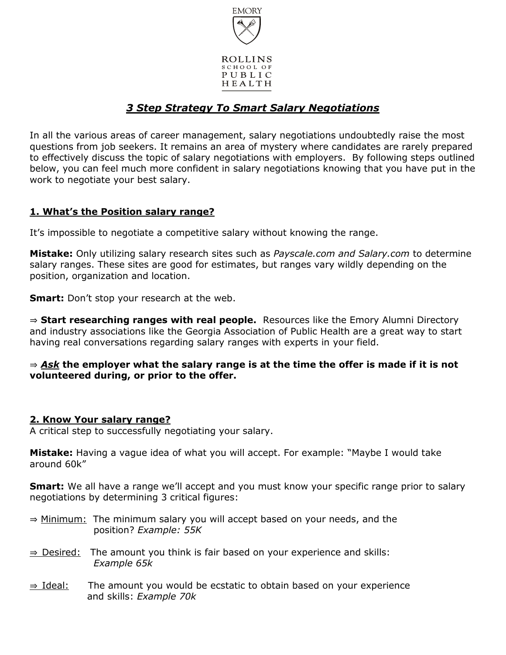

# *3 Step Strategy To Smart Salary Negotiations*

In all the various areas of career management, salary negotiations undoubtedly raise the most questions from job seekers. It remains an area of mystery where candidates are rarely prepared to effectively discuss the topic of salary negotiations with employers. By following steps outlined below, you can feel much more confident in salary negotiations knowing that you have put in the work to negotiate your best salary.

# **1. What's the Position salary range?**

It's impossible to negotiate a competitive salary without knowing the range.

**Mistake:** Only utilizing salary research sites such as *Payscale.com and Salary.com* to determine salary ranges. These sites are good for estimates, but ranges vary wildly depending on the position, organization and location.

**Smart:** Don't stop your research at the web.

⇒ **Start researching ranges with real people.** Resources like the Emory Alumni Directory and industry associations like the Georgia Association of Public Health are a great way to start having real conversations regarding salary ranges with experts in your field.

## ⇒ *Ask* **the employer what the salary range is at the time the offer is made if it is not volunteered during, or prior to the offer.**

## **2. Know Your salary range?**

A critical step to successfully negotiating your salary.

**Mistake:** Having a vague idea of what you will accept. For example: "Maybe I would take around 60k"

**Smart:** We all have a range we'll accept and you must know your specific range prior to salary negotiations by determining 3 critical figures:

- ⇒ Minimum: The minimum salary you will accept based on your needs, and the position? *Example: 55K*
- $\Rightarrow$  Desired: The amount you think is fair based on your experience and skills: *Example 65k*
- ⇒ Ideal: The amount you would be ecstatic to obtain based on your experience and skills: *Example 70k*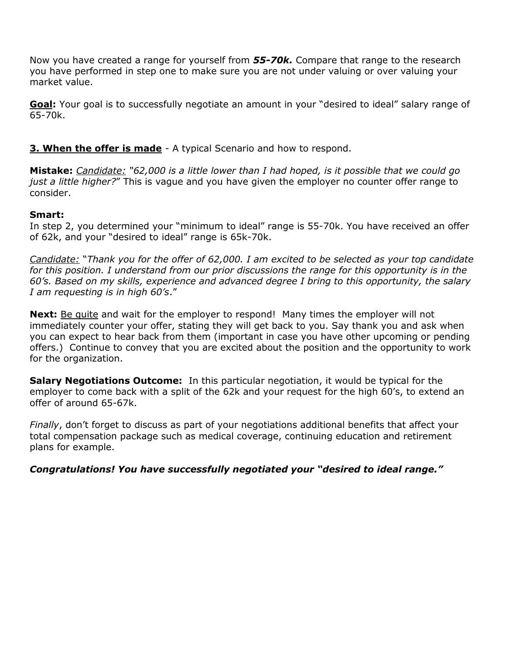Now you have created a range for yourself from *55-70k.* Compare that range to the research you have performed in step one to make sure you are not under valuing or over valuing your market value.

**Goal:** Your goal is to successfully negotiate an amount in your "desired to ideal" salary range of 65-70k.

**3. When the offer is made** - A typical Scenario and how to respond.

**Mistake:** *Candidate: "62,000 is a little lower than I had hoped, is it possible that we could go just a little higher?*" This is vague and you have given the employer no counter offer range to consider.

# **Smart:**

In step 2, you determined your "minimum to ideal" range is 55-70k. You have received an offer of 62k, and your "desired to ideal" range is 65k-70k.

*Candidate:* "*Thank you for the offer of 62,000. I am excited to be selected as your top candidate for this position. I understand from our prior discussions the range for this opportunity is in the 60's. Based on my skills, experience and advanced degree I bring to this opportunity, the salary I am requesting is in high 60's*."

**Next:** Be quite and wait for the employer to respond! Many times the employer will not immediately counter your offer, stating they will get back to you. Say thank you and ask when you can expect to hear back from them (important in case you have other upcoming or pending offers.) Continue to convey that you are excited about the position and the opportunity to work for the organization.

**Salary Negotiations Outcome:** In this particular negotiation, it would be typical for the employer to come back with a split of the 62k and your request for the high 60's, to extend an offer of around 65-67k.

*Finally*, don't forget to discuss as part of your negotiations additional benefits that affect your total compensation package such as medical coverage, continuing education and retirement plans for example.

*Congratulations! You have successfully negotiated your "desired to ideal range."*